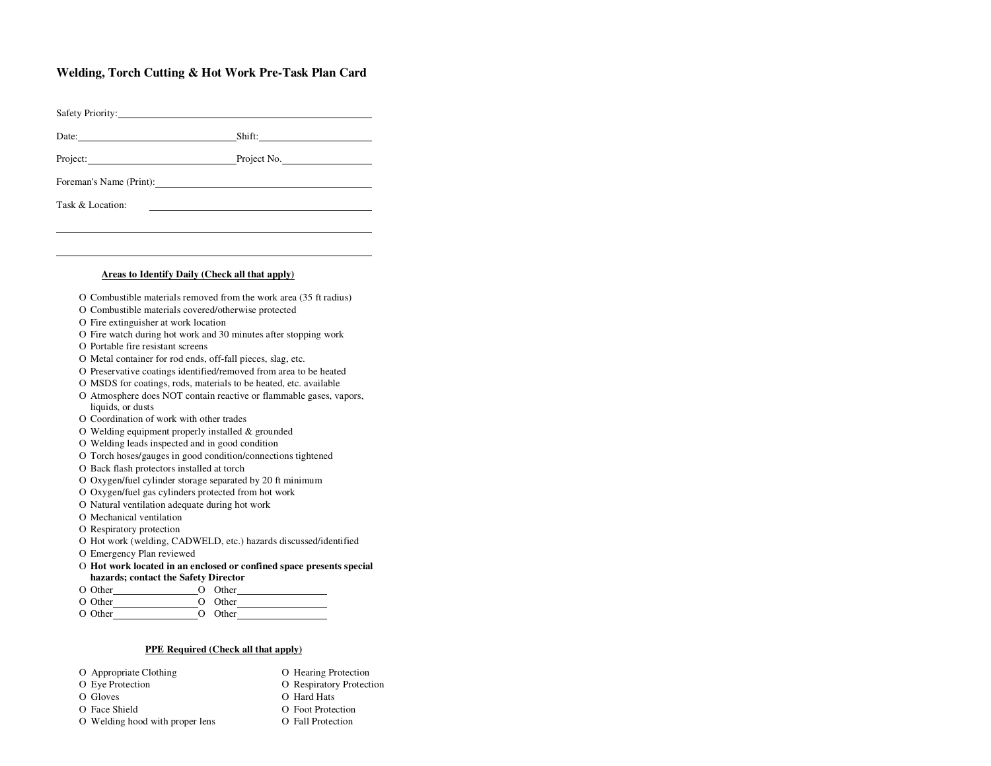## **Welding, Torch Cutting & Hot Work Pre-Task Plan Card**

| Date: Shift: Shift:<br>Project: Project No.                                                                            |
|------------------------------------------------------------------------------------------------------------------------|
|                                                                                                                        |
|                                                                                                                        |
| Foreman's Name (Print):                                                                                                |
| Task & Location:                                                                                                       |
|                                                                                                                        |
|                                                                                                                        |
|                                                                                                                        |
| Areas to Identify Daily (Check all that apply)                                                                         |
| O Combustible materials removed from the work area (35 ft radius)                                                      |
| O Combustible materials covered/otherwise protected                                                                    |
| O Fire extinguisher at work location                                                                                   |
| O Fire watch during hot work and 30 minutes after stopping work                                                        |
| O Portable fire resistant screens                                                                                      |
| O Metal container for rod ends, off-fall pieces, slag, etc.                                                            |
| O Preservative coatings identified/removed from area to be heated                                                      |
| O MSDS for coatings, rods, materials to be heated, etc. available                                                      |
| O Atmosphere does NOT contain reactive or flammable gases, vapors,                                                     |
| liquids, or dusts                                                                                                      |
| O Coordination of work with other trades                                                                               |
| O Welding equipment properly installed & grounded                                                                      |
| O Welding leads inspected and in good condition                                                                        |
| O Torch hoses/gauges in good condition/connections tightened                                                           |
| O Back flash protectors installed at torch                                                                             |
| O Oxygen/fuel cylinder storage separated by 20 ft minimum                                                              |
| O Oxygen/fuel gas cylinders protected from hot work                                                                    |
| O Natural ventilation adequate during hot work                                                                         |
| O Mechanical ventilation                                                                                               |
| O Respiratory protection                                                                                               |
| O Hot work (welding, CADWELD, etc.) hazards discussed/identified                                                       |
| O Emergency Plan reviewed                                                                                              |
| O Hot work located in an enclosed or confined space presents special<br>$\mathbf{r}$ and $\mathbf{r}$ and $\mathbf{r}$ |

## **hazards; contact the Safety Director**

| O Other | Other |
|---------|-------|
| ---     |       |

| O Other | Other   |
|---------|---------|
| O Other | O Other |

## **PPE Required (Check all that apply)**

| O Appropriate Clothing          | O Hearing Protection     |
|---------------------------------|--------------------------|
| O Eye Protection                | O Respiratory Protection |
| O Gloves                        | O Hard Hats              |
| O Face Shield                   | O Foot Protection        |
| O Welding hood with proper lens | O Fall Protection        |